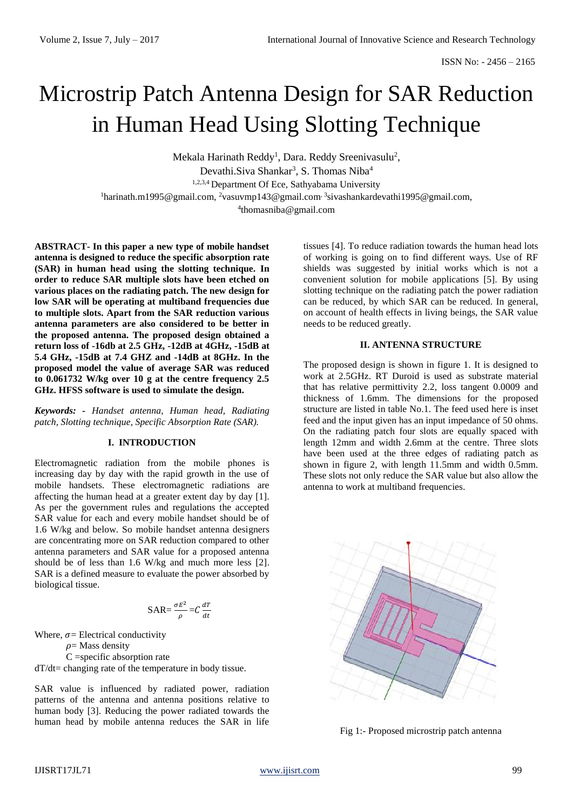# Microstrip Patch Antenna Design for SAR Reduction in Human Head Using Slotting Technique

Mekala Harinath Reddy<sup>1</sup>, Dara. Reddy Sreenivasulu<sup>2</sup>, Devathi.Siva Shankar<sup>3</sup>, S. Thomas Niba<sup>4</sup> 1,2,3,4 Department Of Ece, Sathyabama University <sup>1</sup>harinath.m1995@gmail.com, <sup>2</sup>vasuvmp143@gmail.com<sup>, 3</sup>sivashankardevathi1995@gmail.com, 4 thomasniba@gmail.com

**ABSTRACT- In this paper a new type of mobile handset antenna is designed to reduce the specific absorption rate (SAR) in human head using the slotting technique. In order to reduce SAR multiple slots have been etched on various places on the radiating patch. The new design for low SAR will be operating at multiband frequencies due to multiple slots. Apart from the SAR reduction various antenna parameters are also considered to be better in the proposed antenna. The proposed design obtained a return loss of -16db at 2.5 GHz, -12dB at 4GHz, -15dB at 5.4 GHz, -15dB at 7.4 GHZ and -14dB at 8GHz. In the proposed model the value of average SAR was reduced to 0.061732 W/kg over 10 g at the centre frequency 2.5 GHz. HFSS software is used to simulate the design.**

*Keywords: - Handset antenna, Human head, Radiating patch, Slotting technique, Specific Absorption Rate (SAR).*

#### **I. INTRODUCTION**

Electromagnetic radiation from the mobile phones is increasing day by day with the rapid growth in the use of mobile handsets. These electromagnetic radiations are affecting the human head at a greater extent day by day [1]. As per the government rules and regulations the accepted SAR value for each and every mobile handset should be of 1.6 W/kg and below. So mobile handset antenna designers are concentrating more on SAR reduction compared to other antenna parameters and SAR value for a proposed antenna should be of less than 1.6 W/kg and much more less [2]. SAR is a defined measure to evaluate the power absorbed by biological tissue.

$$
SAR = \frac{\sigma E^2}{\rho} = C \frac{dT}{dt}
$$

Where,  $\sigma$ = Electrical conductivity

 $\rho$ = Mass density

C =specific absorption rate

dT/dt= changing rate of the temperature in body tissue.

SAR value is influenced by radiated power, radiation patterns of the antenna and antenna positions relative to human body [3]. Reducing the power radiated towards the human head by mobile antenna reduces the SAR in life

tissues [4]. To reduce radiation towards the human head lots of working is going on to find different ways. Use of RF shields was suggested by initial works which is not a convenient solution for mobile applications [5]. By using slotting technique on the radiating patch the power radiation can be reduced, by which SAR can be reduced. In general, on account of health effects in living beings, the SAR value needs to be reduced greatly.

# **II. ANTENNA STRUCTURE**

The proposed design is shown in figure 1. It is designed to work at 2.5GHz. RT Duroid is used as substrate material that has relative permittivity 2.2, loss tangent 0.0009 and thickness of 1.6mm. The dimensions for the proposed structure are listed in table No.1. The feed used here is inset feed and the input given has an input impedance of 50 ohms. On the radiating patch four slots are equally spaced with length 12mm and width 2.6mm at the centre. Three slots have been used at the three edges of radiating patch as shown in figure 2, with length 11.5mm and width 0.5mm. These slots not only reduce the SAR value but also allow the antenna to work at multiband frequencies.



Fig 1:- Proposed microstrip patch antenna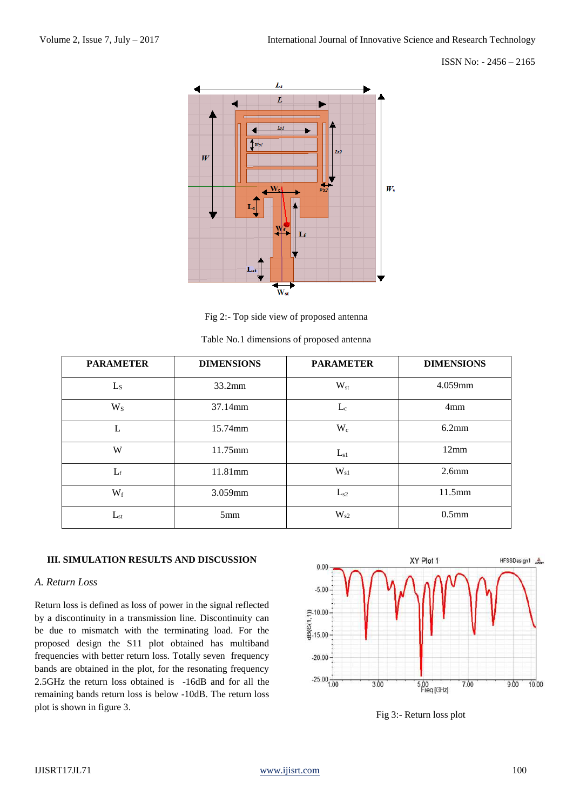## ISSN No: - 2456 – 2165



Fig 2:- Top side view of proposed antenna

| <b>PARAMETER</b> | <b>DIMENSIONS</b> | <b>PARAMETER</b> | <b>DIMENSIONS</b> |
|------------------|-------------------|------------------|-------------------|
| $L_S$            | 33.2mm            | $W_{st}$         | 4.059mm           |
| $W_{S}$          | 37.14mm           | $L_c$            | 4 <sub>mm</sub>   |
| L                | 15.74mm           | $W_c$            | 6.2mm             |
| W                | 11.75mm           | $L_{s1}$         | 12mm              |
| $L_f$            | 11.81mm           | $W_{s1}$         | $2.6$ mm          |
| $W_f$            | 3.059mm           | $L_{s2}$         | 11.5mm            |
| $L_{st}$         | 5mm               | $W_{s2}$         | $0.5$ mm          |

|  |  |  | Table No.1 dimensions of proposed antenna |  |
|--|--|--|-------------------------------------------|--|
|--|--|--|-------------------------------------------|--|

# **III. SIMULATION RESULTS AND DISCUSSION**

# *A. Return Loss*

Return loss is defined as loss of power in the signal reflected by a discontinuity in a transmission line. Discontinuity can be due to mismatch with the terminating load. For the proposed design the S11 plot obtained has multiband frequencies with better return loss. Totally seven frequency bands are obtained in the plot, for the resonating frequency 2.5GHz the return loss obtained is -16dB and for all the remaining bands return loss is below -10dB. The return loss plot is shown in figure 3.



Fig 3:- Return loss plot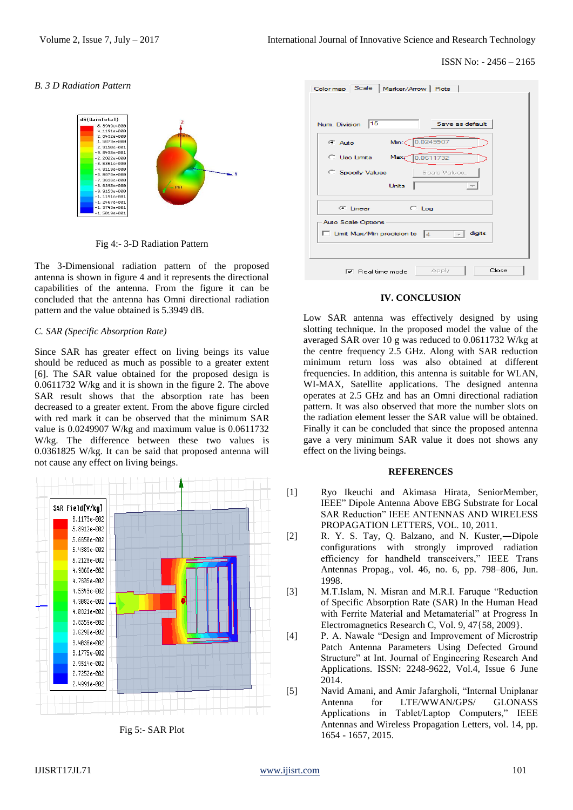## ISSN No: - 2456 – 2165

#### *B. 3 D Radiation Pattern*



Fig 4:- 3-D Radiation Pattern

The 3-Dimensional radiation pattern of the proposed antenna is shown in figure 4 and it represents the directional capabilities of the antenna. From the figure it can be concluded that the antenna has Omni directional radiation pattern and the value obtained is 5.3949 dB.

## *C. SAR (Specific Absorption Rate)*

Since SAR has greater effect on living beings its value should be reduced as much as possible to a greater extent [6]. The SAR value obtained for the proposed design is 0.0611732 W/kg and it is shown in the figure 2. The above SAR result shows that the absorption rate has been decreased to a greater extent. From the above figure circled with red mark it can be observed that the minimum SAR value is 0.0249907 W/kg and maximum value is 0.0611732 W/kg. The difference between these two values is 0.0361825 W/kg. It can be said that proposed antenna will not cause any effect on living beings.



Fig 5:- SAR Plot

| Color map Scale   Marker/Arrow   Plots                                          |  |  |  |  |
|---------------------------------------------------------------------------------|--|--|--|--|
| 15<br>Save as default<br>Num. Division                                          |  |  |  |  |
| 0.0249907<br>Min:C<br><b>C</b> Auto                                             |  |  |  |  |
| 0.0611732<br>C Use Limits Maxz                                                  |  |  |  |  |
| <b>C</b> Specify Values<br>Scale Values                                         |  |  |  |  |
| <b>Units</b>                                                                    |  |  |  |  |
| $F$ linear<br>$C$ Log                                                           |  |  |  |  |
| <b>Auto Scale Options</b><br>digits<br>$\Box$ Limit Max/Min precision to $\Box$ |  |  |  |  |
| Close<br>Apply<br>$\nabla$ Real time mode                                       |  |  |  |  |

#### **IV. CONCLUSION**

Low SAR antenna was effectively designed by using slotting technique. In the proposed model the value of the averaged SAR over 10 g was reduced to 0.0611732 W/kg at the centre frequency 2.5 GHz. Along with SAR reduction minimum return loss was also obtained at different frequencies. In addition, this antenna is suitable for WLAN, WI-MAX, Satellite applications. The designed antenna operates at 2.5 GHz and has an Omni directional radiation pattern. It was also observed that more the number slots on the radiation element lesser the SAR value will be obtained. Finally it can be concluded that since the proposed antenna gave a very minimum SAR value it does not shows any effect on the living beings.

## **REFERENCES**

- [1] Ryo Ikeuchi and Akimasa Hirata, SeniorMember, IEEE" Dipole Antenna Above EBG Substrate for Local SAR Reduction" IEEE ANTENNAS AND WIRELESS PROPAGATION LETTERS, VOL. 10, 2011.
- [2] R. Y. S. Tay, Q. Balzano, and N. Kuster,―Dipole configurations with strongly improved radiation efficiency for handheld transceivers," IEEE Trans Antennas Propag., vol. 46, no. 6, pp. 798–806, Jun. 1998.
- [3] M.T.Islam, N. Misran and M.R.I. Faruque "Reduction of Specific Absorption Rate (SAR) In the Human Head with Ferrite Material and Metamaterial" at Progress In Electromagnetics Research C, Vol. 9, 47{58, 2009}.
- [4] P. A. Nawale "Design and Improvement of Microstrip Patch Antenna Parameters Using Defected Ground Structure" at Int. Journal of Engineering Research And Applications. ISSN: 2248-9622, Vol.4, Issue 6 June 2014.
- [5] Navid Amani, and Amir Jafargholi, "Internal Uniplanar Antenna for LTE/WWAN/GPS/ GLONASS Applications in Tablet/Laptop Computers," IEEE Antennas and Wireless Propagation Letters, vol. 14, pp. 1654 - 1657, 2015.